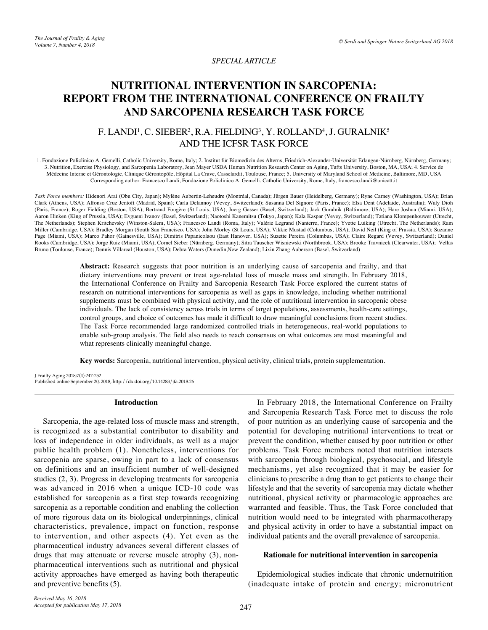## *SPECIAL ARTICLE*

# **NUTRITIONAL INTERVENTION IN SARCOPENIA: REPORT FROM THE INTERNATIONAL CONFERENCE ON FRAILTY AND SARCOPENIA RESEARCH TASK FORCE**

## F. LANDI<sup>1</sup>, C. SIEBER<sup>2</sup>, R.A. FIELDING<sup>3</sup>, Y. ROLLAND<sup>4</sup>, J. GURALNIK<sup>5</sup> AND THE ICFSR TASK FORCE

1. Fondazione Policlinico A. Gemelli, Catholic University, Rome, Italy; 2. Institut für Biomedizin des Alterns, Friedrich-Alexander-Universität Erlangen-Nürnberg, Nürnberg, Germany; 3. Nutrition, Exercise Physiology, and Sarcopenia Laboratory, Jean Mayer USDA Human Nutrition Research Center on Aging, Tufts University, Boston, MA, USA; 4. Service de Médecine Interne et Gérontologie, Clinique Gérontopôle, Hôpital La Crave, Casselardit, Toulouse, France; 5. University of Maryland School of Medicine, Baltimore, MD, USA Corresponding author: Francesco Landi, Fondazione Policlinico A. Gemelli, Catholic University, Rome, Italy, francesco.landi@unicatt.it

*Task Force members:* Hidenori Arai (Obu City, Japan); Mylène Aubertin-Leheudre (Montréal, Canada); Jürgen Bauer (Heidelberg, Germany); Ryne Carney (Washington, USA); Brian Clark (Athens, USA); Alfonso Cruz Jentoft (Madrid, Spain); Carla Delannoy (Vevey, Switzerland); Susanna Del Signore (Paris, France); Elsa Dent (Adelaide, Australia); Waly Dioh (Paris, France); Roger Fielding (Boston, USA); Bertrand Fougère (St Louis, USA); Juerg Gasser (Basel, Switzerland); Jack Guralnik (Baltimore, USA); Hare Joshua (Miami, USA); Aaron Hinken (King of Prussia, USA); Evgueni Ivanov (Basel, Switzerland); Naotoshi Kanemitsu (Tokyo, Japan); Kala Kaspar (Vevey, Switzerland); Tatiana Klompenhouwer (Utrecht, The Netherlands); Stephen Kritchevsky (Winston-Salem, USA); Francesco Landi (Roma, Italy); Valérie Legrand (Nanterre, France); Yvette Luiking (Utrecht, The Netherlands); Ram Miller (Cambridge, USA); Bradley Morgan (South San Francisco, USA); John Morley (St Louis, USA); Vikkie Mustad (Columbus, USA); David Neil (King of Prussia, USA); Suzanne Page (Miami, USA); Marco Pahor (Gainesville, USA); Dimitris Papanicolaou (East Hanover, USA); Suzette Pereira (Columbus, USA); Claire Regard (Vevey, Switzerland); Daniel Rooks (Cambridge, USA); Jorge Ruiz (Miami, USA); Cornel Sieber (Nürnberg, Germany); Sitra Tauscher Wisniewski (Northbrook, USA); Brooke Travnicek (Clearwater, USA); Vellas Bruno (Toulouse, France); Dennis Villareal (Houston, USA); Debra Waters (Dunedin,New Zealand); Lixin Zhang Auberson (Basel, Switzerland)

> **Abstract:** Research suggests that poor nutrition is an underlying cause of sarcopenia and frailty, and that dietary interventions may prevent or treat age-related loss of muscle mass and strength. In February 2018, the International Conference on Frailty and Sarcopenia Research Task Force explored the current status of research on nutritional interventions for sarcopenia as well as gaps in knowledge, including whether nutritional supplements must be combined with physical activity, and the role of nutritional intervention in sarcopenic obese individuals. The lack of consistency across trials in terms of target populations, assessments, health-care settings, control groups, and choice of outcomes has made it difficult to draw meaningful conclusions from recent studies. The Task Force recommended large randomized controlled trials in heterogeneous, real-world populations to enable sub-group analysis. The field also needs to reach consensus on what outcomes are most meaningful and what represents clinically meaningful change.

**Key words:** Sarcopenia, nutritional intervention, physical activity, clinical trials, protein supplementation.

J Frailty Aging 2018;7(4):247-252 Published online September 20, 2018, http://dx.doi.org/10.14283/jfa.2018.26

## **Introduction**

Sarcopenia, the age-related loss of muscle mass and strength, is recognized as a substantial contributor to disability and loss of independence in older individuals, as well as a major public health problem (1). Nonetheless, interventions for sarcopenia are sparse, owing in part to a lack of consensus on definitions and an insufficient number of well-designed studies (2, 3). Progress in developing treatments for sarcopenia was advanced in 2016 when a unique ICD-10 code was established for sarcopenia as a first step towards recognizing sarcopenia as a reportable condition and enabling the collection of more rigorous data on its biological underpinnings, clinical characteristics, prevalence, impact on function, response to intervention, and other aspects (4). Yet even as the pharmaceutical industry advances several different classes of drugs that may attenuate or reverse muscle atrophy (3), nonpharmaceutical interventions such as nutritional and physical activity approaches have emerged as having both therapeutic and preventive benefits (5).

In February 2018, the International Conference on Frailty and Sarcopenia Research Task Force met to discuss the role of poor nutrition as an underlying cause of sarcopenia and the potential for developing nutritional interventions to treat or prevent the condition, whether caused by poor nutrition or other problems. Task Force members noted that nutrition interacts with sarcopenia through biological, psychosocial, and lifestyle mechanisms, yet also recognized that it may be easier for clinicians to prescribe a drug than to get patients to change their lifestyle and that the severity of sarcopenia may dictate whether nutritional, physical activity or pharmacologic approaches are warranted and feasible. Thus, the Task Force concluded that nutrition would need to be integrated with pharmacotherapy and physical activity in order to have a substantial impact on individual patients and the overall prevalence of sarcopenia.

#### **Rationale for nutritional intervention in sarcopenia**

Epidemiological studies indicate that chronic undernutrition (inadequate intake of protein and energy; micronutrient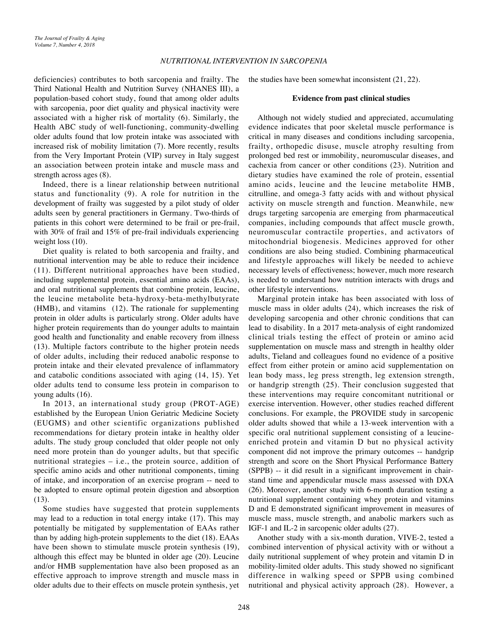deficiencies) contributes to both sarcopenia and frailty. The Third National Health and Nutrition Survey (NHANES III), a population-based cohort study, found that among older adults with sarcopenia, poor diet quality and physical inactivity were associated with a higher risk of mortality (6). Similarly, the Health ABC study of well-functioning, community-dwelling older adults found that low protein intake was associated with increased risk of mobility limitation (7). More recently, results from the Very Important Protein (VIP) survey in Italy suggest an association between protein intake and muscle mass and strength across ages (8).

Indeed, there is a linear relationship between nutritional status and functionality (9). A role for nutrition in the development of frailty was suggested by a pilot study of older adults seen by general practitioners in Germany. Two-thirds of patients in this cohort were determined to be frail or pre-frail, with 30% of frail and 15% of pre-frail individuals experiencing weight loss (10).

Diet quality is related to both sarcopenia and frailty, and nutritional intervention may be able to reduce their incidence (11). Different nutritional approaches have been studied, including supplemental protein, essential amino acids (EAAs), and oral nutritional supplements that combine protein, leucine, the leucine metabolite beta-hydroxy-beta-methylbutyrate (HMB), and vitamins (12). The rationale for supplementing protein in older adults is particularly strong. Older adults have higher protein requirements than do younger adults to maintain good health and functionality and enable recovery from illness (13). Multiple factors contribute to the higher protein needs of older adults, including their reduced anabolic response to protein intake and their elevated prevalence of inflammatory and catabolic conditions associated with aging (14, 15). Yet older adults tend to consume less protein in comparison to young adults (16).

In 2013, an international study group (PROT-AGE) established by the European Union Geriatric Medicine Society (EUGMS) and other scientific organizations published recommendations for dietary protein intake in healthy older adults. The study group concluded that older people not only need more protein than do younger adults, but that specific nutritional strategies – i.e., the protein source, addition of specific amino acids and other nutritional components, timing of intake, and incorporation of an exercise program -- need to be adopted to ensure optimal protein digestion and absorption (13).

Some studies have suggested that protein supplements may lead to a reduction in total energy intake (17). This may potentially be mitigated by supplementation of EAAs rather than by adding high-protein supplements to the diet (18). EAAs have been shown to stimulate muscle protein synthesis (19), although this effect may be blunted in older age (20). Leucine and/or HMB supplementation have also been proposed as an effective approach to improve strength and muscle mass in older adults due to their effects on muscle protein synthesis, yet

the studies have been somewhat inconsistent (21, 22).

#### **Evidence from past clinical studies**

Although not widely studied and appreciated, accumulating evidence indicates that poor skeletal muscle performance is critical in many diseases and conditions including sarcopenia, frailty, orthopedic disuse, muscle atrophy resulting from prolonged bed rest or immobility, neuromuscular diseases, and cachexia from cancer or other conditions (23). Nutrition and dietary studies have examined the role of protein, essential amino acids, leucine and the leucine metabolite HMB, citrulline, and omega-3 fatty acids with and without physical activity on muscle strength and function. Meanwhile, new drugs targeting sarcopenia are emerging from pharmaceutical companies, including compounds that affect muscle growth, neuromuscular contractile properties, and activators of mitochondrial biogenesis. Medicines approved for other conditions are also being studied. Combining pharmaceutical and lifestyle approaches will likely be needed to achieve necessary levels of effectiveness; however, much more research is needed to understand how nutrition interacts with drugs and other lifestyle interventions.

Marginal protein intake has been associated with loss of muscle mass in older adults (24), which increases the risk of developing sarcopenia and other chronic conditions that can lead to disability. In a 2017 meta-analysis of eight randomized clinical trials testing the effect of protein or amino acid supplementation on muscle mass and strength in healthy older adults, Tieland and colleagues found no evidence of a positive effect from either protein or amino acid supplementation on lean body mass, leg press strength, leg extension strength, or handgrip strength (25). Their conclusion suggested that these interventions may require concomitant nutritional or exercise intervention. However, other studies reached different conclusions. For example, the PROVIDE study in sarcopenic older adults showed that while a 13-week intervention with a specific oral nutritional supplement consisting of a leucineenriched protein and vitamin D but no physical activity component did not improve the primary outcomes -- handgrip strength and score on the Short Physical Performance Battery (SPPB) -- it did result in a significant improvement in chairstand time and appendicular muscle mass assessed with DXA (26). Moreover, another study with 6-month duration testing a nutritional supplement containing whey protein and vitamins D and E demonstrated significant improvement in measures of muscle mass, muscle strength, and anabolic markers such as IGF-1 and IL-2 in sarcopenic older adults (27).

Another study with a six-month duration, VIVE-2, tested a combined intervention of physical activity with or without a daily nutritional supplement of whey protein and vitamin D in mobility-limited older adults. This study showed no significant difference in walking speed or SPPB using combined nutritional and physical activity approach (28). However, a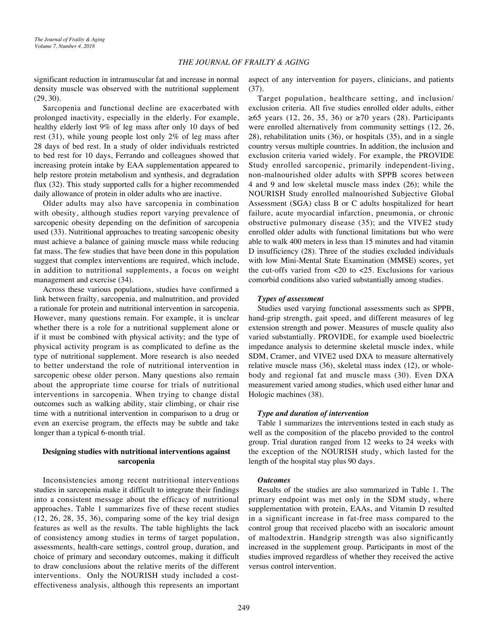significant reduction in intramuscular fat and increase in normal density muscle was observed with the nutritional supplement (29, 30).

Sarcopenia and functional decline are exacerbated with prolonged inactivity, especially in the elderly. For example, healthy elderly lost 9% of leg mass after only 10 days of bed rest (31), while young people lost only 2% of leg mass after 28 days of bed rest. In a study of older individuals restricted to bed rest for 10 days, Ferrando and colleagues showed that increasing protein intake by EAA supplementation appeared to help restore protein metabolism and synthesis, and degradation flux (32). This study supported calls for a higher recommended daily allowance of protein in older adults who are inactive.

Older adults may also have sarcopenia in combination with obesity, although studies report varying prevalence of sarcopenic obesity depending on the definition of sarcopenia used (33). Nutritional approaches to treating sarcopenic obesity must achieve a balance of gaining muscle mass while reducing fat mass. The few studies that have been done in this population suggest that complex interventions are required, which include, in addition to nutritional supplements, a focus on weight management and exercise (34).

Across these various populations, studies have confirmed a link between frailty, sarcopenia, and malnutrition, and provided a rationale for protein and nutritional intervention in sarcopenia. However, many questions remain. For example, it is unclear whether there is a role for a nutritional supplement alone or if it must be combined with physical activity; and the type of physical activity program is as complicated to define as the type of nutritional supplement. More research is also needed to better understand the role of nutritional intervention in sarcopenic obese older person. Many questions also remain about the appropriate time course for trials of nutritional interventions in sarcopenia. When trying to change distal outcomes such as walking ability, stair climbing, or chair rise time with a nutritional intervention in comparison to a drug or even an exercise program, the effects may be subtle and take longer than a typical 6-month trial.

## **Designing studies with nutritional interventions against sarcopenia**

Inconsistencies among recent nutritional interventions studies in sarcopenia make it difficult to integrate their findings into a consistent message about the efficacy of nutritional approaches. Table 1 summarizes five of these recent studies (12, 26, 28, 35, 36), comparing some of the key trial design features as well as the results. The table highlights the lack of consistency among studies in terms of target population, assessments, health-care settings, control group, duration, and choice of primary and secondary outcomes, making it difficult to draw conclusions about the relative merits of the different interventions. Only the NOURISH study included a costeffectiveness analysis, although this represents an important

aspect of any intervention for payers, clinicians, and patients (37).

Target population, healthcare setting, and inclusion/ exclusion criteria. All five studies enrolled older adults, either  $≥ 65$  years (12, 26, 35, 36) or  $≥ 70$  years (28). Participants were enrolled alternatively from community settings (12, 26, 28), rehabilitation units (36), or hospitals (35), and in a single country versus multiple countries. In addition, the inclusion and exclusion criteria varied widely. For example, the PROVIDE Study enrolled sarcopenic, primarily independent-living, non-malnourished older adults with SPPB scores between 4 and 9 and low skeletal muscle mass index (26); while the NOURISH Study enrolled malnourished Subjective Global Assessment (SGA) class B or C adults hospitalized for heart failure, acute myocardial infarction, pneumonia, or chronic obstructive pulmonary disease (35); and the VIVE2 study enrolled older adults with functional limitations but who were able to walk 400 meters in less than 15 minutes and had vitamin D insufficiency (28). Three of the studies excluded individuals with low Mini-Mental State Examination (MMSE) scores, yet the cut-offs varied from  $\langle 20 \rangle$  to  $\langle 25 \rangle$ . Exclusions for various comorbid conditions also varied substantially among studies.

#### *Types of assessment*

Studies used varying functional assessments such as SPPB, hand-grip strength, gait speed, and different measures of leg extension strength and power. Measures of muscle quality also varied substantially. PROVIDE, for example used bioelectric impedance analysis to determine skeletal muscle index, while SDM, Cramer, and VIVE2 used DXA to measure alternatively relative muscle mass (36), skeletal mass index (12), or wholebody and regional fat and muscle mass (30). Even DXA measurement varied among studies, which used either lunar and Hologic machines (38).

#### *Type and duration of intervention*

Table 1 summarizes the interventions tested in each study as well as the composition of the placebo provided to the control group. Trial duration ranged from 12 weeks to 24 weeks with the exception of the NOURISH study, which lasted for the length of the hospital stay plus 90 days.

#### *Outcomes*

Results of the studies are also summarized in Table 1. The primary endpoint was met only in the SDM study, where supplementation with protein, EAAs, and Vitamin D resulted in a significant increase in fat-free mass compared to the control group that received placebo with an isocaloric amount of maltodextrin. Handgrip strength was also significantly increased in the supplement group. Participants in most of the studies improved regardless of whether they received the active versus control intervention.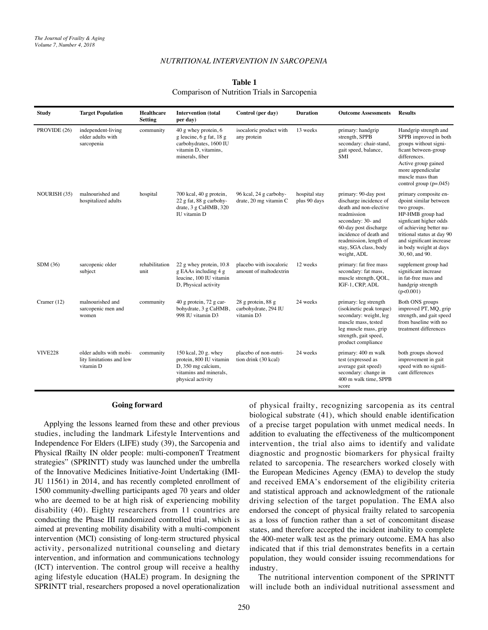#### *NUTRITIONAL INTERVENTION IN SARCOPENIA*

#### **Table 1**

#### Comparison of Nutrition Trials in Sarcopenia

| <b>Study</b>   | <b>Target Population</b>                                         | <b>Healthcare</b><br><b>Setting</b> | <b>Intervention</b> (total<br>per day)                                                                                | Control (per day)                                        | <b>Duration</b>               | <b>Outcome Assessments</b>                                                                                                                                                                                                         | <b>Results</b>                                                                                                                                                                                                                                 |
|----------------|------------------------------------------------------------------|-------------------------------------|-----------------------------------------------------------------------------------------------------------------------|----------------------------------------------------------|-------------------------------|------------------------------------------------------------------------------------------------------------------------------------------------------------------------------------------------------------------------------------|------------------------------------------------------------------------------------------------------------------------------------------------------------------------------------------------------------------------------------------------|
| PROVIDE (26)   | independent-living<br>older adults with<br>sarcopenia            | community                           | 40 g whey protein, 6<br>g leucine, 6 g fat, 18 g<br>carbohydrates, 1600 IU<br>vitamin D, vitamins,<br>minerals, fiber | isocaloric product with<br>any protein                   | 13 weeks                      | primary: handgrip<br>strength, SPPB<br>secondary: chair-stand,<br>gait speed, balance,<br><b>SMI</b>                                                                                                                               | Handgrip strength and<br>SPPB improved in both<br>groups without signi-<br>ficant between-group<br>differences.<br>Active group gained<br>more appendicular<br>muscle mass than<br>control group $(p=.045)$                                    |
| NOURISH (35)   | malnourished and<br>hospitalized adults                          | hospital                            | 700 kcal, 40 g protein,<br>22 g fat, 88 g carbohy-<br>drate, 3 g CaHMB, 320<br>IU vitamin D                           | 96 kcal, 24 g carbohy-<br>drate, 20 mg vitamin C         | hospital stay<br>plus 90 days | primary: 90-day post<br>discharge incidence of<br>death and non-elective<br>readmission<br>secondary: 30- and<br>60-day post discharge<br>incidence of death and<br>readmission, length of<br>stay, SGA class, body<br>weight, ADL | primary composite en-<br>dpoint similar between<br>two groups.<br>HP-HMB group had<br>signficant higher odds<br>of achieving better nu-<br>tritional status at day 90<br>and significant increase<br>in body weight at days<br>30, 60, and 90. |
| SDM(36)        | sarcopenic older<br>subject                                      | rehabilitation<br>unit              | 22 g whey protein, 10.8<br>g EAAs including 4 g<br>leucine, 100 IU vitamin<br>D, Physical activity                    | placebo with isocaloric<br>amount of maltodextrin        | 12 weeks                      | primary: fat free mass<br>secondary: fat mass,<br>muscle strength, QOL,<br>IGF-1, CRP, ADL                                                                                                                                         | supplement group had<br>significant increase<br>in fat-free mass and<br>handgrip strength<br>(p<0.001)                                                                                                                                         |
| Cramer $(12)$  | malnourished and<br>sarcopenic men and<br>women                  | community                           | 40 g protein, 72 g car-<br>bohydrate, 3 g CaHMB,<br>998 IU vitamin D3                                                 | 28 g protein, 88 g<br>carbohydrate, 294 IU<br>vitamin D3 | 24 weeks                      | primary: leg strength<br>(isokinetic peak torque)<br>secondary: weight, leg<br>muscle mass, tested<br>leg muscle mass, grip<br>strength, gait speed,<br>product compliance                                                         | Both ONS groups<br>improved PT, MQ, grip<br>strength, and gait speed<br>from baseline with no<br>treatment differences                                                                                                                         |
| <b>VIVE228</b> | older adults with mobi-<br>lity limitations and low<br>vitamin D | community                           | 150 kcal, 20 g. whey<br>protein, 800 IU vitamin<br>D, 350 mg calcium,<br>vitamins and minerals,<br>physical activity  | placebo of non-nutri-<br>tion drink (30 kcal)            | 24 weeks                      | primary: 400 m walk<br>test (expressed as<br>average gait speed)<br>secondary: change in<br>400 m walk time, SPPB<br>score                                                                                                         | both groups showed<br>improvement in gait<br>speed with no signifi-<br>cant differences                                                                                                                                                        |

#### **Going forward**

Applying the lessons learned from these and other previous studies, including the landmark Lifestyle Interventions and Independence For Elders (LIFE) study (39), the Sarcopenia and Physical fRailty IN older people: multi-componenT Treatment strategies" (SPRINTT) study was launched under the umbrella of the Innovative Medicines Initiative-Joint Undertaking (IMI-JU 11561) in 2014, and has recently completed enrollment of 1500 community-dwelling participants aged 70 years and older who are deemed to be at high risk of experiencing mobility disability (40). Eighty researchers from 11 countries are conducting the Phase III randomized controlled trial, which is aimed at preventing mobility disability with a multi-component intervention (MCI) consisting of long-term structured physical activity, personalized nutritional counseling and dietary intervention, and information and communications technology (ICT) intervention. The control group will receive a healthy aging lifestyle education (HALE) program. In designing the SPRINTT trial, researchers proposed a novel operationalization of physical frailty, recognizing sarcopenia as its central biological substrate (41), which should enable identification of a precise target population with unmet medical needs. In addition to evaluating the effectiveness of the multicomponent intervention, the trial also aims to identify and validate diagnostic and prognostic biomarkers for physical frailty related to sarcopenia. The researchers worked closely with the European Medicines Agency (EMA) to develop the study and received EMA's endorsement of the eligibility criteria and statistical approach and acknowledgment of the rationale driving selection of the target population. The EMA also endorsed the concept of physical frailty related to sarcopenia as a loss of function rather than a set of concomitant disease states, and therefore accepted the incident inability to complete the 400-meter walk test as the primary outcome. EMA has also indicated that if this trial demonstrates benefits in a certain population, they would consider issuing recommendations for industry.

The nutritional intervention component of the SPRINTT will include both an individual nutritional assessment and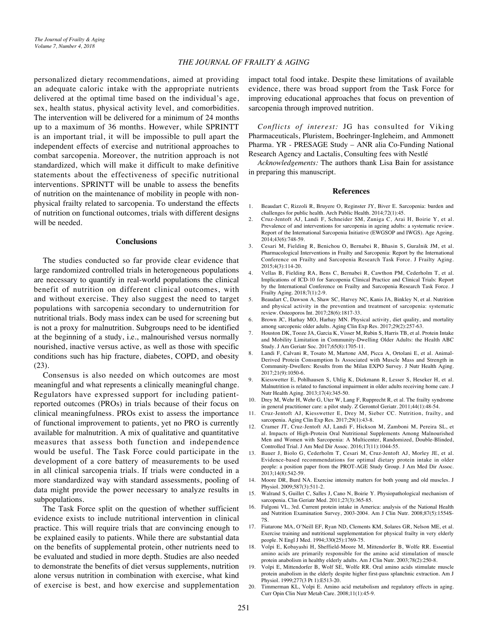#### *THE JOURNAL OF FRAILTY & AGING*

personalized dietary recommendations, aimed at providing an adequate caloric intake with the appropriate nutrients delivered at the optimal time based on the individual's age, sex, health status, physical activity level, and comorbidities. The intervention will be delivered for a minimum of 24 months up to a maximum of 36 months. However, while SPRINTT is an important trial, it will be impossible to pull apart the independent effects of exercise and nutritional approaches to combat sarcopenia. Moreover, the nutrition approach is not standardized, which will make it difficult to make definitive statements about the effectiveness of specific nutritional interventions. SPRINTT will be unable to assess the benefits of nutrition on the maintenance of mobility in people with nonphysical frailty related to sarcopenia. To understand the effects of nutrition on functional outcomes, trials with different designs will be needed.

#### **Conclusions**

The studies conducted so far provide clear evidence that large randomized controlled trials in heterogeneous populations are necessary to quantify in real-world populations the clinical benefit of nutrition on different clinical outcomes, with and without exercise. They also suggest the need to target populations with sarcopenia secondary to undernutrition for nutritional trials. Body mass index can be used for screening but is not a proxy for malnutrition. Subgroups need to be identified at the beginning of a study, i.e., malnourished versus normally nourished, inactive versus active, as well as those with specific conditions such has hip fracture, diabetes, COPD, and obesity (23).

Consensus is also needed on which outcomes are most meaningful and what represents a clinically meaningful change. Regulators have expressed support for including patientreported outcomes (PROs) in trials because of their focus on clinical meaningfulness. PROs exist to assess the importance of functional improvement to patients, yet no PRO is currently available for malnutrition. A mix of qualitative and quantitative measures that assess both function and independence would be useful. The Task Force could participate in the development of a core battery of measurements to be used in all clinical sarcopenia trials. If trials were conducted in a more standardized way with standard assessments, pooling of data might provide the power necessary to analyze results in subpopulations.

The Task Force split on the question of whether sufficient evidence exists to include nutritional intervention in clinical practice. This will require trials that are convincing enough to be explained easily to patients. While there are substantial data on the benefits of supplemental protein, other nutrients need to be evaluated and studied in more depth. Studies are also needed to demonstrate the benefits of diet versus supplements, nutrition alone versus nutrition in combination with exercise, what kind of exercise is best, and how exercise and supplementation

impact total food intake. Despite these limitations of available evidence, there was broad support from the Task Force for improving educational approaches that focus on prevention of sarcopenia through improved nutrition.

*Conflicts of interest:* JG has consulted for Viking Pharmaceuticals, Pluristem, Boehringer-Ingleheim, and Ammonett Pharma. YR - PRESAGE Study – ANR alia Co-Funding National Research Agency and Lactalis, Consulting fees with Nestlé

*Acknowledgements:* The authors thank Lisa Bain for assistance in preparing this manuscript.

#### **References**

- 1. Beaudart C, Rizzoli R, Bruyere O, Reginster JY, Biver E. Sarcopenia: burden and challenges for public health. Arch Public Health. 2014;72(1):45.
- 2. Cruz-Jentoft AJ, Landi F, Schneider SM, Zuniga C, Arai H, Boirie Y, et al. Prevalence of and interventions for sarcopenia in ageing adults: a systematic review. Report of the International Sarcopenia Initiative (EWGSOP and IWGS). Age Ageing. 2014;43(6):748-59.
- 3. Cesari M, Fielding R, Benichou O, Bernabei R, Bhasin S, Guralnik JM, et al. Pharmacological Interventions in Frailty and Sarcopenia: Report by the International Conference on Frailty and Sarcopenia Research Task Force. J Frailty Aging. 2015;4(3):114-20.
- 4. Vellas B, Fielding RA, Bens C, Bernabei R, Cawthon PM, Cederholm T, et al. Implications of ICD-10 for Sarcopenia Clinical Practice and Clinical Trials: Report by the International Conference on Frailty and Sarcopenia Research Task Force. J Frailty Aging. 2018;7(1):2-9.
- 5. Beaudart C, Dawson A, Shaw SC, Harvey NC, Kanis JA, Binkley N, et al. Nutrition and physical activity in the prevention and treatment of sarcopenia: systematic review. Osteoporos Int. 2017;28(6):1817-33.
- 6. Brown JC, Harhay MO, Harhay MN. Physical activity, diet quality, and mortality among sarcopenic older adults. Aging Clin Exp Res. 2017;29(2):257-63.
- 7. Houston DK, Tooze JA, Garcia K, Visser M, Rubin S, Harris TB, et al. Protein Intake and Mobility Limitation in Community-Dwelling Older Adults: the Health ABC Study. J Am Geriatr Soc. 2017;65(8):1705-11.
- 8. Landi F, Calvani R, Tosato M, Martone AM, Picca A, Ortolani E, et al. Animal-Derived Protein Consumption Is Associated with Muscle Mass and Strength in Community-Dwellers: Results from the Milan EXPO Survey. J Nutr Health Aging. 2017;21(9):1050-6.
- 9. Kiesswetter E, Pohlhausen S, Uhlig K, Diekmann R, Lesser S, Heseker H, et al. Malnutrition is related to functional impairment in older adults receiving home care. J Nutr Health Aging. 2013;17(4):345-50.
- 10. Drey M, Wehr H, Wehr G, Uter W, Lang F, Rupprecht R, et al. The frailty syndrome in general practitioner care: a pilot study. Z Gerontol Geriatr. 2011;44(1):48-54.
- 11. Cruz-Jentoft AJ, Kiesswetter E, Drey M, Sieber CC. Nutrition, frailty, and sarcopenia. Aging Clin Exp Res. 2017;29(1):43-8.
- 12. Cramer JT, Cruz-Jentoft AJ, Landi F, Hickson M, Zamboni M, Pereira SL, et al. Impacts of High-Protein Oral Nutritional Supplements Among Malnourished Men and Women with Sarcopenia: A Multicenter, Randomized, Double-Blinded, Controlled Trial. J Am Med Dir Assoc. 2016;17(11):1044-55.
- 13. Bauer J, Biolo G, Cederholm T, Cesari M, Cruz-Jentoft AJ, Morley JE, et al. Evidence-based recommendations for optimal dietary protein intake in older people: a position paper from the PROT-AGE Study Group. J Am Med Dir Assoc. 2013;14(8):542-59.
- 14. Moore DR, Burd NA. Exercise intensity matters for both young and old muscles. J Physiol. 2009;587(3):511-2.
- 15. Walrand S, Guillet C, Salles J, Cano N, Boirie Y. Physiopathological mechanism of sarcopenia. Clin Geriatr Med. 2011;27(3):365-85.
- 16. Fulgoni VL, 3rd. Current protein intake in America: analysis of the National Health and Nutrition Examination Survey, 2003-2004. Am J Clin Nutr. 2008;87(5):1554S-7S.
- 17. Fiatarone MA, O'Neill EF, Ryan ND, Clements KM, Solares GR, Nelson ME, et al. Exercise training and nutritional supplementation for physical frailty in very elderly people. N Engl J Med. 1994;330(25):1769-75.
- 18. Volpi E, Kobayashi H, Sheffield-Moore M, Mittendorfer B, Wolfe RR. Essential amino acids are primarily responsible for the amino acid stimulation of muscle protein anabolism in healthy elderly adults. Am J Clin Nutr. 2003;78(2):250-8.
- 19. Volpi E, Mittendorfer B, Wolf SE, Wolfe RR. Oral amino acids stimulate muscle protein anabolism in the elderly despite higher first-pass splanchnic extraction. Am J Physiol. 1999;277(3 Pt 1):E513-20.
- 20. Timmerman KL, Volpi E. Amino acid metabolism and regulatory effects in aging. Curr Opin Clin Nutr Metab Care. 2008;11(1):45-9.